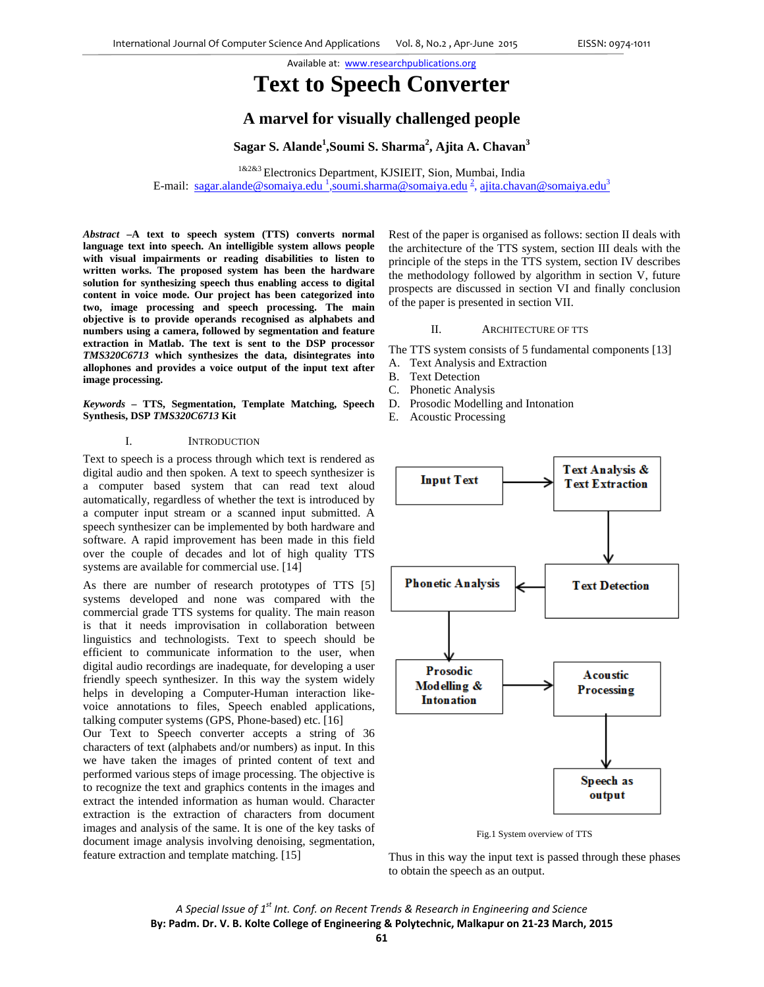# **Text to Speech Converter**

## **A marvel for visually challenged people**

 $\beta$ Sagar S. Alande $^1$ ,Soumi S. Sharma $^2$ , Ajita A. Chavan $^3$ 

1&2&3 Electronics Department, KJSIEIT, Sion, Mumbai, India E-mail: sagar.alande@somaiya.edu<sup>1</sup>,soumi.sharma@somaiya.edu<sup>2</sup>, ajita.chavan@somaiya.edu<sup>3</sup>

*Abstract* **–A text to speech system (TTS) converts normal language text into speech. An intelligible system allows people with visual impairments or reading disabilities to listen to written works. The proposed system has been the hardware solution for synthesizing speech thus enabling access to digital content in voice mode. Our project has been categorized into two, image processing and speech processing. The main objective is to provide operands recognised as alphabets and numbers using a camera, followed by segmentation and feature extraction in Matlab. The text is sent to the DSP processor**  *TMS320C6713* **which synthesizes the data, disintegrates into allophones and provides a voice output of the input text after image processing.** 

*Keywords* **– TTS, Segmentation, Template Matching, Speech Synthesis, DSP** *TMS320C6713* **Kit** 

#### I. INTRODUCTION

Text to speech is a process through which text is rendered as digital audio and then spoken. A text to speech synthesizer is a computer based system that can read text aloud automatically, regardless of whether the text is introduced by a computer input stream or a scanned input submitted. A speech synthesizer can be implemented by both hardware and software. A rapid improvement has been made in this field over the couple of decades and lot of high quality TTS systems are available for commercial use. [14]

As there are number of research prototypes of TTS [5] systems developed and none was compared with the commercial grade TTS systems for quality. The main reason is that it needs improvisation in collaboration between linguistics and technologists. Text to speech should be efficient to communicate information to the user, when digital audio recordings are inadequate, for developing a user friendly speech synthesizer. In this way the system widely helps in developing a Computer-Human interaction likevoice annotations to files, Speech enabled applications, talking computer systems (GPS, Phone-based) etc. [16]

Our Text to Speech converter accepts a string of 36 characters of text (alphabets and/or numbers) as input. In this we have taken the images of printed content of text and performed various steps of image processing. The objective is to recognize the text and graphics contents in the images and extract the intended information as human would. Character extraction is the extraction of characters from document images and analysis of the same. It is one of the key tasks of document image analysis involving denoising, segmentation, feature extraction and template matching. [15]

Rest of the paper is organised as follows: section II deals with the architecture of the TTS system, section III deals with the principle of the steps in the TTS system, section IV describes the methodology followed by algorithm in section V, future prospects are discussed in section VI and finally conclusion of the paper is presented in section VII.

#### II. ARCHITECTURE OF TTS

The TTS system consists of 5 fundamental components [13]

- A. Text Analysis and Extraction
- B. Text Detection
- C. Phonetic Analysis
- D. Prosodic Modelling and Intonation
- E. Acoustic Processing



Fig.1 System overview of TTS

Thus in this way the input text is passed through these phases to obtain the speech as an output.

*A Special Issue of 1st Int. Conf. on Recent Trends & Research in Engineering and Science* **By: Padm. Dr. V. B. Kolte College of Engineering & Polytechnic, Malkapur on 21‐23 March, 2015**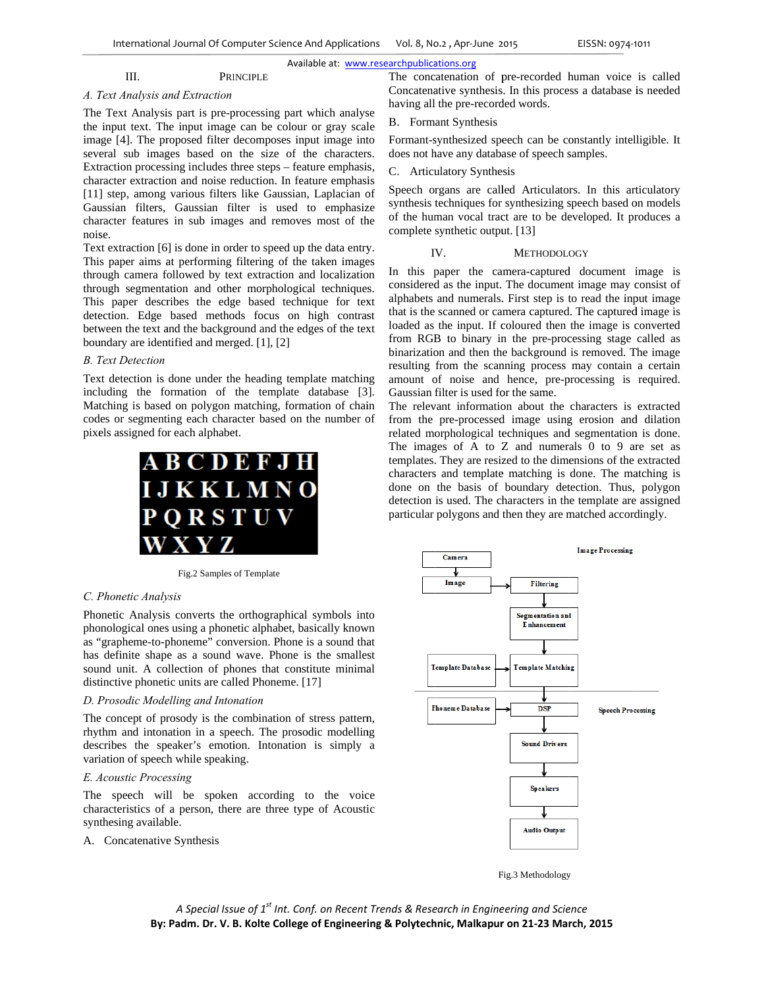#### Available at: www.researchpublications.org

#### III. **PRINCIPLE**

### A. Text Analysis and Extraction

The Text Analysis part is pre-processing part which analyse the input text. The input image can be colour or gray scale image [4]. The proposed filter decomposes input image into several sub images based on the size of the characters. Extraction processing includes three steps – feature emphasis, character extraction and noise reduction. In feature emphasis [11] step, among various filters like Gaussian, Laplacian of Gaussian filters, Gaussian filter is used to emphasize character features in sub images and removes most of the noise.

Text extraction [6] is done in order to speed up the data entry. This paper aims at performing filtering of the taken images through camera followed by text extraction and localization through segmentation and other morphological techniques. This paper describes the edge based technique for text detection. Edge based methods focus on high contrast between the text and the background and the edges of the text boundary are identified and merged. [1], [2]

#### **B.** Text Detection

Text detection is done under the heading template matching including the formation of the template database [3]. Matching is based on polygon matching, formation of chain codes or segmenting each character based on the number of pixels assigned for each alphabet.



Fig.2 Samples of Template

#### C. Phonetic Analysis

Phonetic Analysis converts the orthographical symbols into phonological ones using a phonetic alphabet, basically known as "grapheme-to-phoneme" conversion. Phone is a sound that has definite shape as a sound wave. Phone is the smallest sound unit. A collection of phones that constitute minimal distinctive phonetic units are called Phoneme. [17]

#### D. Prosodic Modelling and Intonation

The concept of prosody is the combination of stress pattern, rhythm and intonation in a speech. The prosodic modelling describes the speaker's emotion. Intonation is simply a variation of speech while speaking.

#### E. Acoustic Processing

The speech will be spoken according to the voice characteristics of a person, there are three type of Acoustic synthesing available.

A. Concatenative Synthesis

The concatenation of pre-recorded human voice is called Concatenative synthesis. In this process a database is needed having all the pre-recorded words.

#### **B.** Formant Synthesis

Formant-synthesized speech can be constantly intelligible. It does not have any database of speech samples.

C. Articulatory Synthesis

Speech organs are called Articulators. In this articulatory synthesis techniques for synthesizing speech based on models of the human vocal tract are to be developed. It produces a complete synthetic output. [13]

#### IV. METHODOLOGY

In this paper the camera-captured document image is considered as the input. The document image may consist of alphabets and numerals. First step is to read the input image that is the scanned or camera captured. The captured image is loaded as the input. If coloured then the image is converted from RGB to binary in the pre-processing stage called as binarization and then the background is removed. The image resulting from the scanning process may contain a certain amount of noise and hence, pre-processing is required. Gaussian filter is used for the same.

The relevant information about the characters is extracted from the pre-processed image using erosion and dilation related morphological techniques and segmentation is done. The images of A to Z and numerals 0 to 9 are set as templates. They are resized to the dimensions of the extracted characters and template matching is done. The matching is done on the basis of boundary detection. Thus, polygon detection is used. The characters in the template are assigned particular polygons and then they are matched accordingly.



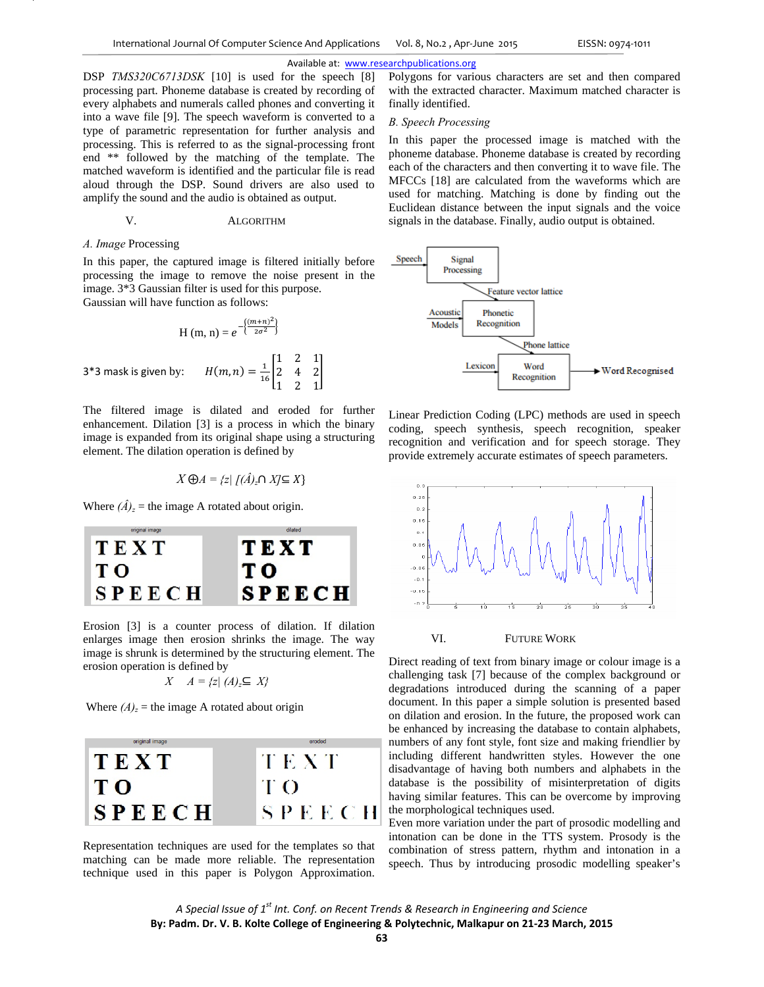$\overline{\phantom{a}}$ 

#### Available at: www.researchpublications.org

DSP *TMS320C6713DSK* [10] is used for the speech [8] processing part. Phoneme database is created by recording of every alphabets and numerals called phones and converting it into a wave file [9]. The speech waveform is converted to a type of parametric representation for further analysis and processing. This is referred to as the signal-processing front end \*\* followed by the matching of the template. The matched waveform is identified and the particular file is read aloud through the DSP. Sound drivers are also used to amplify the sound and the audio is obtained as output.

## V. ALGORITHM

#### *A. Image* Processing

In this paper, the captured image is filtered initially before processing the image to remove the noise present in the image. 3\*3 Gaussian filter is used for this purpose. Gaussian will have function as follows:

$$
H (m, n) = e^{-\left\{\frac{(m+n)^2}{2\sigma^2}\right\}}
$$
  
3\*3 mask is given by: 
$$
H(m, n) = \frac{1}{16} \begin{bmatrix} 1 & 2 & 1 \\ 2 & 4 & 2 \\ 1 & 2 & 1 \end{bmatrix}
$$

The filtered image is dilated and eroded for further enhancement. Dilation [3] is a process in which the binary image is expanded from its original shape using a structuring element. The dilation operation is defined by

$$
X \bigoplus A = \{ z | \bigcap (\hat{A})_z \cap X \subseteq X \}
$$

Where  $(\hat{A})_z$  = the image A rotated about origin.



Erosion [3] is a counter process of dilation. If dilation enlarges image then erosion shrinks the image. The way image is shrunk is determined by the structuring element. The erosion operation is defined by

$$
X \quad A = \{ z | (A)_z \subseteq X \}
$$

Where  $(A)_z$  = the image A rotated about origin



Representation techniques are used for the templates so that matching can be made more reliable. The representation technique used in this paper is Polygon Approximation.

Polygons for various characters are set and then compared with the extracted character. Maximum matched character is finally identified.

#### *B. Speech Processing*

In this paper the processed image is matched with the phoneme database. Phoneme database is created by recording each of the characters and then converting it to wave file. The MFCCs [18] are calculated from the waveforms which are used for matching. Matching is done by finding out the Euclidean distance between the input signals and the voice signals in the database. Finally, audio output is obtained.



Linear Prediction Coding (LPC) methods are used in speech coding, speech synthesis, speech recognition, speaker recognition and verification and for speech storage. They provide extremely accurate estimates of speech parameters.



#### VI. FUTURE WORK

Direct reading of text from binary image or colour image is a challenging task [7] because of the complex background or degradations introduced during the scanning of a paper document. In this paper a simple solution is presented based on dilation and erosion. In the future, the proposed work can be enhanced by increasing the database to contain alphabets, numbers of any font style, font size and making friendlier by including different handwritten styles. However the one disadvantage of having both numbers and alphabets in the database is the possibility of misinterpretation of digits having similar features. This can be overcome by improving the morphological techniques used.

Even more variation under the part of prosodic modelling and intonation can be done in the TTS system. Prosody is the combination of stress pattern, rhythm and intonation in a speech. Thus by introducing prosodic modelling speaker's

*A Special Issue of 1st Int. Conf. on Recent Trends & Research in Engineering and Science* **By: Padm. Dr. V. B. Kolte College of Engineering & Polytechnic, Malkapur on 21‐23 March, 2015**